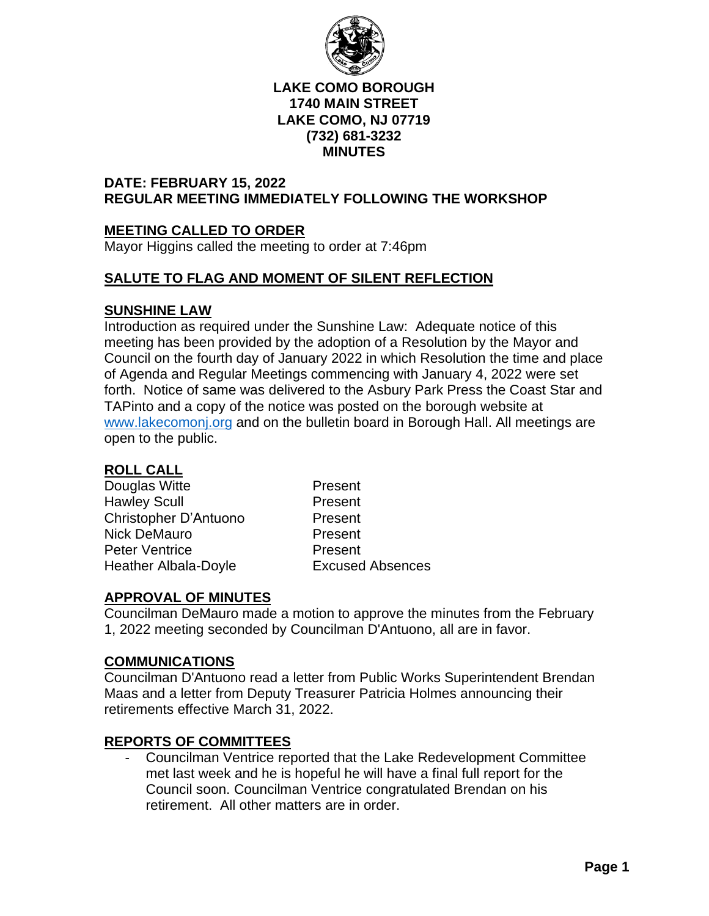

#### **LAKE COMO BOROUGH 1740 MAIN STREET LAKE COMO, NJ 07719 (732) 681-3232 MINUTES**

## **DATE: FEBRUARY 15, 2022 REGULAR MEETING IMMEDIATELY FOLLOWING THE WORKSHOP**

# **MEETING CALLED TO ORDER**

Mayor Higgins called the meeting to order at 7:46pm

# **SALUTE TO FLAG AND MOMENT OF SILENT REFLECTION**

## **SUNSHINE LAW**

Introduction as required under the Sunshine Law: Adequate notice of this meeting has been provided by the adoption of a Resolution by the Mayor and Council on the fourth day of January 2022 in which Resolution the time and place of Agenda and Regular Meetings commencing with January 4, 2022 were set forth. Notice of same was delivered to the Asbury Park Press the Coast Star and TAPinto and a copy of the notice was posted on the borough website at [www.lakecomonj.org](http://www.lakecomonj.org/) and on the bulletin board in Borough Hall. All meetings are open to the public.

#### **ROLL CALL**

Douglas Witte **Present** Hawley Scull **Present** Christopher D'Antuono Present Nick DeMauro **Present** Peter Ventrice Present Heather Albala-Doyle Excused Absences

# **APPROVAL OF MINUTES**

Councilman DeMauro made a motion to approve the minutes from the February 1, 2022 meeting seconded by Councilman D'Antuono, all are in favor.

#### **COMMUNICATIONS**

Councilman D'Antuono read a letter from Public Works Superintendent Brendan Maas and a letter from Deputy Treasurer Patricia Holmes announcing their retirements effective March 31, 2022.

#### **REPORTS OF COMMITTEES**

- Councilman Ventrice reported that the Lake Redevelopment Committee met last week and he is hopeful he will have a final full report for the Council soon. Councilman Ventrice congratulated Brendan on his retirement. All other matters are in order.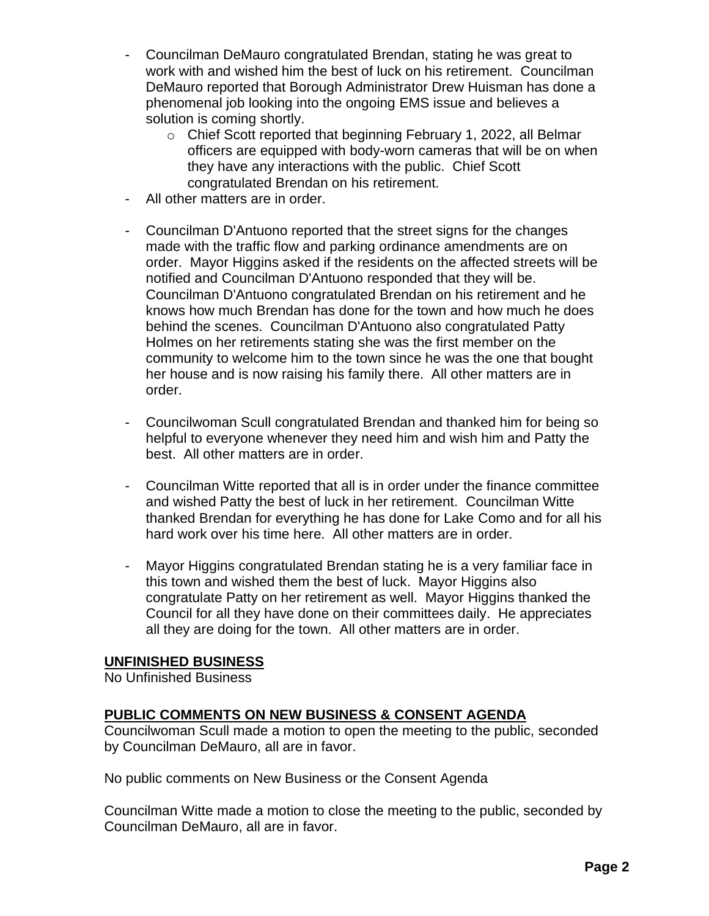- Councilman DeMauro congratulated Brendan, stating he was great to work with and wished him the best of luck on his retirement. Councilman DeMauro reported that Borough Administrator Drew Huisman has done a phenomenal job looking into the ongoing EMS issue and believes a solution is coming shortly.
	- o Chief Scott reported that beginning February 1, 2022, all Belmar officers are equipped with body-worn cameras that will be on when they have any interactions with the public. Chief Scott congratulated Brendan on his retirement.
- All other matters are in order.
- Councilman D'Antuono reported that the street signs for the changes made with the traffic flow and parking ordinance amendments are on order. Mayor Higgins asked if the residents on the affected streets will be notified and Councilman D'Antuono responded that they will be. Councilman D'Antuono congratulated Brendan on his retirement and he knows how much Brendan has done for the town and how much he does behind the scenes. Councilman D'Antuono also congratulated Patty Holmes on her retirements stating she was the first member on the community to welcome him to the town since he was the one that bought her house and is now raising his family there. All other matters are in order.
- Councilwoman Scull congratulated Brendan and thanked him for being so helpful to everyone whenever they need him and wish him and Patty the best. All other matters are in order.
- Councilman Witte reported that all is in order under the finance committee and wished Patty the best of luck in her retirement. Councilman Witte thanked Brendan for everything he has done for Lake Como and for all his hard work over his time here. All other matters are in order.
- Mayor Higgins congratulated Brendan stating he is a very familiar face in this town and wished them the best of luck. Mayor Higgins also congratulate Patty on her retirement as well. Mayor Higgins thanked the Council for all they have done on their committees daily. He appreciates all they are doing for the town. All other matters are in order.

#### **UNFINISHED BUSINESS**

No Unfinished Business

#### **PUBLIC COMMENTS ON NEW BUSINESS & CONSENT AGENDA**

Councilwoman Scull made a motion to open the meeting to the public, seconded by Councilman DeMauro, all are in favor.

No public comments on New Business or the Consent Agenda

Councilman Witte made a motion to close the meeting to the public, seconded by Councilman DeMauro, all are in favor.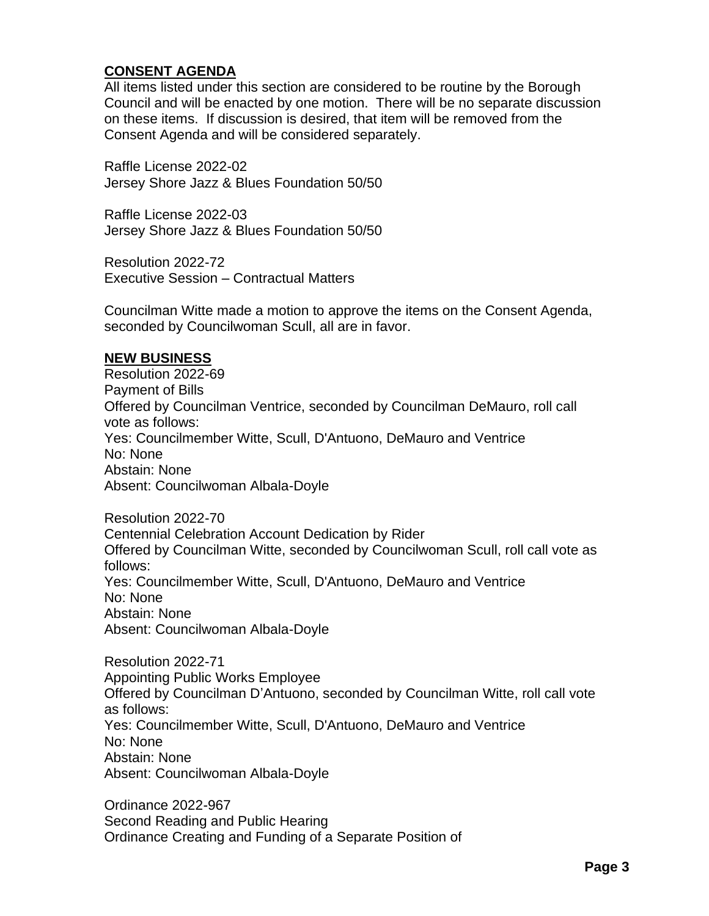## **CONSENT AGENDA**

All items listed under this section are considered to be routine by the Borough Council and will be enacted by one motion. There will be no separate discussion on these items. If discussion is desired, that item will be removed from the Consent Agenda and will be considered separately.

Raffle License 2022-02 Jersey Shore Jazz & Blues Foundation 50/50

Raffle License 2022-03 Jersey Shore Jazz & Blues Foundation 50/50

Resolution 2022-72 Executive Session – Contractual Matters

Councilman Witte made a motion to approve the items on the Consent Agenda, seconded by Councilwoman Scull, all are in favor.

#### **NEW BUSINESS**

Resolution 2022-69 Payment of Bills Offered by Councilman Ventrice, seconded by Councilman DeMauro, roll call vote as follows: Yes: Councilmember Witte, Scull, D'Antuono, DeMauro and Ventrice No: None Abstain: None Absent: Councilwoman Albala-Doyle

Resolution 2022-70 Centennial Celebration Account Dedication by Rider Offered by Councilman Witte, seconded by Councilwoman Scull, roll call vote as follows: Yes: Councilmember Witte, Scull, D'Antuono, DeMauro and Ventrice No: None Abstain: None Absent: Councilwoman Albala-Doyle

Resolution 2022-71 Appointing Public Works Employee Offered by Councilman D'Antuono, seconded by Councilman Witte, roll call vote as follows: Yes: Councilmember Witte, Scull, D'Antuono, DeMauro and Ventrice No: None Abstain: None Absent: Councilwoman Albala-Doyle

Ordinance 2022-967 Second Reading and Public Hearing Ordinance Creating and Funding of a Separate Position of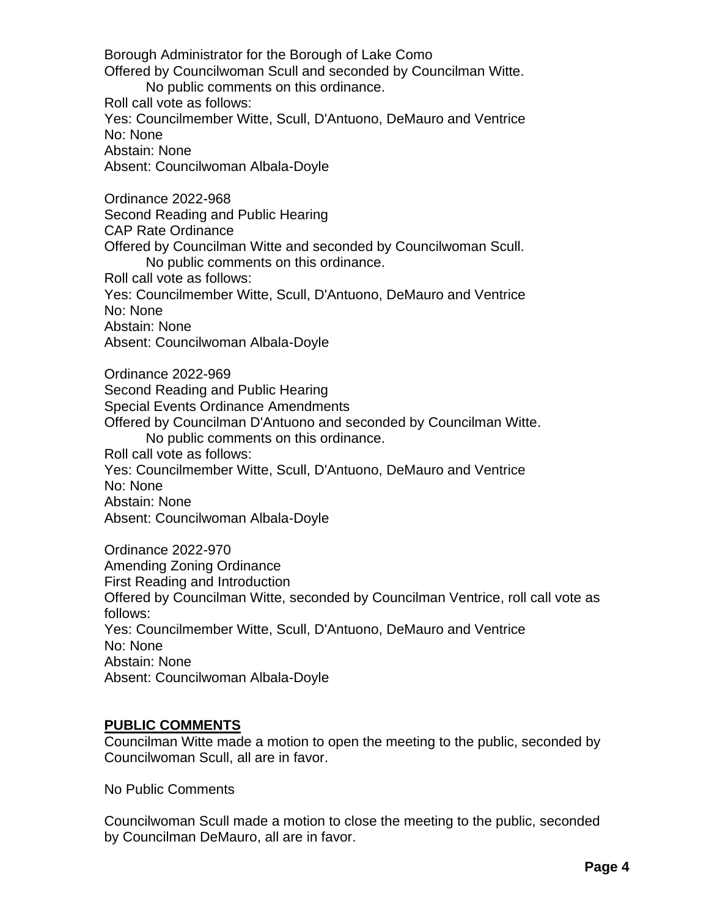Borough Administrator for the Borough of Lake Como Offered by Councilwoman Scull and seconded by Councilman Witte. No public comments on this ordinance. Roll call vote as follows: Yes: Councilmember Witte, Scull, D'Antuono, DeMauro and Ventrice No: None Abstain: None Absent: Councilwoman Albala-Doyle Ordinance 2022-968 Second Reading and Public Hearing CAP Rate Ordinance Offered by Councilman Witte and seconded by Councilwoman Scull. No public comments on this ordinance. Roll call vote as follows: Yes: Councilmember Witte, Scull, D'Antuono, DeMauro and Ventrice No: None Abstain: None Absent: Councilwoman Albala-Doyle Ordinance 2022-969 Second Reading and Public Hearing Special Events Ordinance Amendments Offered by Councilman D'Antuono and seconded by Councilman Witte. No public comments on this ordinance. Roll call vote as follows: Yes: Councilmember Witte, Scull, D'Antuono, DeMauro and Ventrice No: None Abstain: None Absent: Councilwoman Albala-Doyle Ordinance 2022-970 Amending Zoning Ordinance First Reading and Introduction Offered by Councilman Witte, seconded by Councilman Ventrice, roll call vote as follows: Yes: Councilmember Witte, Scull, D'Antuono, DeMauro and Ventrice No: None Abstain: None Absent: Councilwoman Albala-Doyle

#### **PUBLIC COMMENTS**

Councilman Witte made a motion to open the meeting to the public, seconded by Councilwoman Scull, all are in favor.

No Public Comments

Councilwoman Scull made a motion to close the meeting to the public, seconded by Councilman DeMauro, all are in favor.